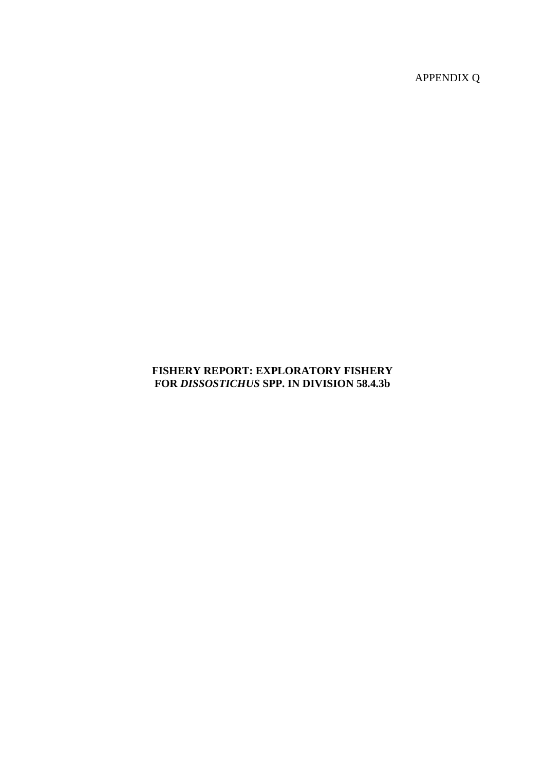APPENDIX Q

# **FISHERY REPORT: EXPLORATORY FISHERY FOR** *DISSOSTICHUS* **SPP. IN DIVISION 58.4.3b**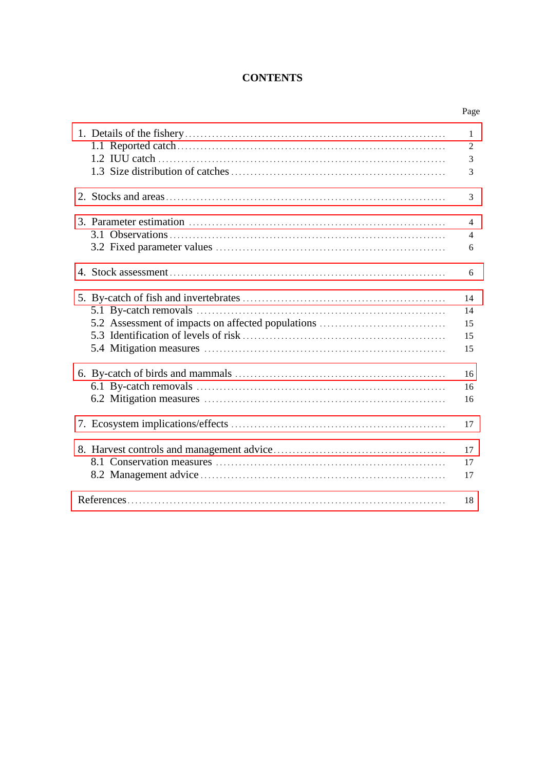# **CONTENTS**

|                                                   | 1              |
|---------------------------------------------------|----------------|
|                                                   | $\overline{2}$ |
|                                                   | $\overline{3}$ |
|                                                   | 3              |
|                                                   |                |
|                                                   | $\mathcal{R}$  |
|                                                   |                |
|                                                   | $\overline{4}$ |
|                                                   | $\overline{4}$ |
|                                                   | 6              |
|                                                   |                |
|                                                   | 6              |
|                                                   |                |
|                                                   | 14             |
|                                                   | 14             |
| 5.2 Assessment of impacts on affected populations | 15             |
|                                                   | 15             |
|                                                   |                |
|                                                   | 15             |
|                                                   | 16             |
|                                                   |                |
|                                                   | 16             |
|                                                   | 16             |
|                                                   | 17             |
|                                                   |                |
|                                                   | 17             |
|                                                   | 17             |
|                                                   | 17             |
|                                                   |                |
|                                                   | 18             |
|                                                   |                |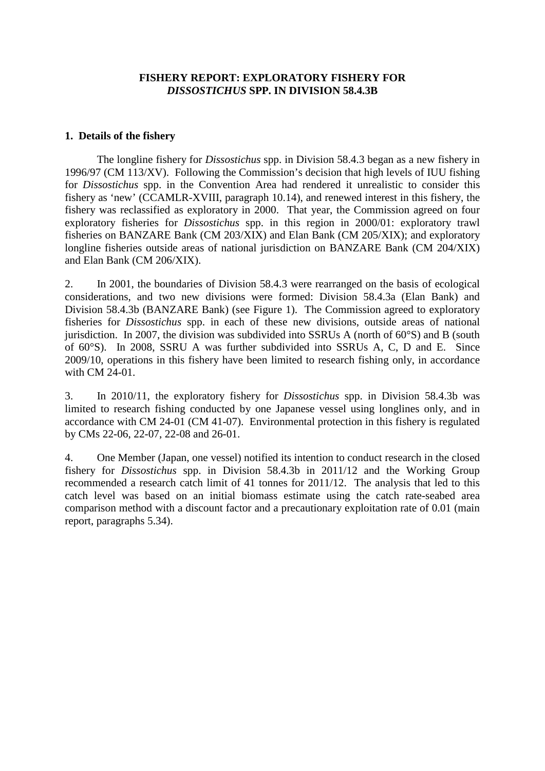### **FISHERY REPORT: EXPLORATORY FISHERY FOR**  *DISSOSTICHUS* **SPP. IN DIVISION 58.4.3B**

#### <span id="page-2-0"></span>**1. Details of the fishery**

The longline fishery for *Dissostichus* spp. in Division 58.4.3 began as a new fishery in 1996/97 (CM 113/XV). Following the Commission's decision that high levels of IUU fishing for *Dissostichus* spp. in the Convention Area had rendered it unrealistic to consider this fishery as 'new' (CCAMLR-XVIII, paragraph 10.14), and renewed interest in this fishery, the fishery was reclassified as exploratory in 2000. That year, the Commission agreed on four exploratory fisheries for *Dissostichus* spp. in this region in 2000/01: exploratory trawl fisheries on BANZARE Bank (CM 203/XIX) and Elan Bank (CM 205/XIX); and exploratory longline fisheries outside areas of national jurisdiction on BANZARE Bank (CM 204/XIX) and Elan Bank (CM 206/XIX).

2. In 2001, the boundaries of Division 58.4.3 were rearranged on the basis of ecological considerations, and two new divisions were formed: Division 58.4.3a (Elan Bank) and Division 58.4.3b (BANZARE Bank) (see Figure 1). The Commission agreed to exploratory fisheries for *Dissostichus* spp. in each of these new divisions, outside areas of national jurisdiction. In 2007, the division was subdivided into SSRUs A (north of 60°S) and B (south of 60°S). In 2008, SSRU A was further subdivided into SSRUs A, C, D and E. Since 2009/10, operations in this fishery have been limited to research fishing only, in accordance with CM 24-01.

3. In 2010/11, the exploratory fishery for *Dissostichus* spp. in Division 58.4.3b was limited to research fishing conducted by one Japanese vessel using longlines only, and in accordance with CM 24-01 (CM 41-07). Environmental protection in this fishery is regulated by CMs 22-06, 22-07, 22-08 and 26-01.

4. One Member (Japan, one vessel) notified its intention to conduct research in the closed fishery for *Dissostichus* spp. in Division 58.4.3b in 2011/12 and the Working Group recommended a research catch limit of 41 tonnes for 2011/12. The analysis that led to this catch level was based on an initial biomass estimate using the catch rate-seabed area comparison method with a discount factor and a precautionary exploitation rate of 0.01 (main report, paragraphs 5.34).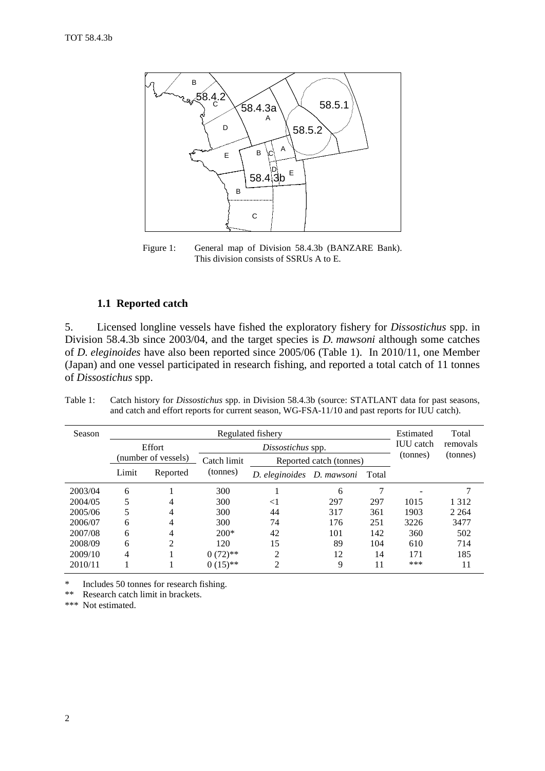

Figure 1: General map of Division 58.4.3b (BANZARE Bank). This division consists of SSRUs A to E.

#### **1.1 Reported catch**

5. Licensed longline vessels have fished the exploratory fishery for *Dissostichus* spp. in Division 58.4.3b since 2003/04, and the target species is *D. mawsoni* although some catches of *D. eleginoides* have also been reported since 2005/06 (Table 1). In 2010/11, one Member (Japan) and one vessel participated in research fishing, and reported a total catch of 11 tonnes of *Dissostichus* spp.

| Season  |       |                     |             | Regulated fishery               |                         |          | Estimated | Total    |
|---------|-------|---------------------|-------------|---------------------------------|-------------------------|----------|-----------|----------|
|         |       | <b>Effort</b>       |             | Dissostichus spp.               | <b>IUU</b> catch        | removals |           |          |
|         |       | (number of vessels) | Catch limit |                                 | Reported catch (tonnes) |          | (tonnes)  | (tonnes) |
|         | Limit | Reported            | (tonnes)    | D. eleginoides D. mawsoni Total |                         |          |           |          |
| 2003/04 | 6     |                     | 300         |                                 | 6                       | 7        |           |          |
| 2004/05 |       | 4                   | 300         | $<$ 1                           | 297                     | 297      | 1015      | 1 3 1 2  |
| 2005/06 | 5     | 4                   | 300         | 44                              | 317                     | 361      | 1903      | 2 2 6 4  |
| 2006/07 | 6     | 4                   | 300         | 74                              | 176                     | 251      | 3226      | 3477     |
| 2007/08 | 6     | 4                   | $200*$      | 42                              | 101                     | 142      | 360       | 502      |
| 2008/09 | 6     | 2                   | 120         | 15                              | 89                      | 104      | 610       | 714      |
| 2009/10 | 4     |                     | $0(72)$ **  | 2                               | 12                      | 14       | 171       | 185      |
| 2010/11 |       |                     | $0(15)$ **  | 2                               | 9                       | 11       | ***       | 11       |

Table 1: Catch history for *Dissostichus* spp. in Division 58.4.3b (source: STATLANT data for past seasons, and catch and effort reports for current season, WG-FSA-11/10 and past reports for IUU catch).

\* Includes 50 tonnes for research fishing.<br>\*\* Pesearch catch limit in brackets

Research catch limit in brackets.

\*\*\* Not estimated.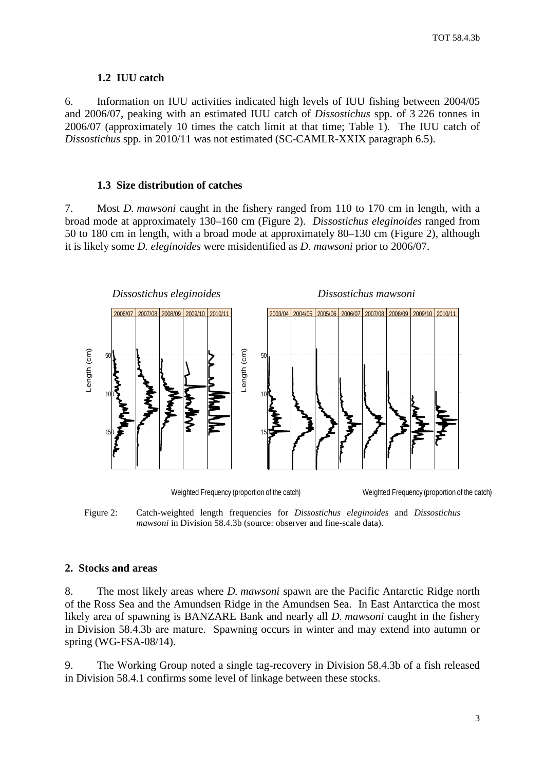#### **1.2 IUU catch**

<span id="page-4-0"></span>6. Information on IUU activities indicated high levels of IUU fishing between 2004/05 and 2006/07, peaking with an estimated IUU catch of *Dissostichus* spp. of 3 226 tonnes in 2006/07 (approximately 10 times the catch limit at that time; Table 1). The IUU catch of *Dissostichus* spp. in 2010/11 was not estimated (SC-CAMLR-XXIX paragraph 6.5).

### **1.3 Size distribution of catches**

7. Most *D. mawsoni* caught in the fishery ranged from 110 to 170 cm in length, with a broad mode at approximately 130–160 cm (Figure 2). *Dissostichus eleginoides* ranged from 50 to 180 cm in length, with a broad mode at approximately 80–130 cm (Figure 2), although it is likely some *D. eleginoides* were misidentified as *D. mawsoni* prior to 2006/07.



Weighted Frequency (proportion of the catch)

Weighted Frequency (proportion of the catch)

Figure 2: Catch-weighted length frequencies for *Dissostichus eleginoides* and *Dissostichus mawsoni* in Division 58.4.3b (source: observer and fine-scale data).

#### **2. Stocks and areas**

8. The most likely areas where *D. mawsoni* spawn are the Pacific Antarctic Ridge north of the Ross Sea and the Amundsen Ridge in the Amundsen Sea. In East Antarctica the most likely area of spawning is BANZARE Bank and nearly all *D. mawsoni* caught in the fishery in Division 58.4.3b are mature. Spawning occurs in winter and may extend into autumn or spring (WG-FSA-08/14).

9. The Working Group noted a single tag-recovery in Division 58.4.3b of a fish released in Division 58.4.1 confirms some level of linkage between these stocks.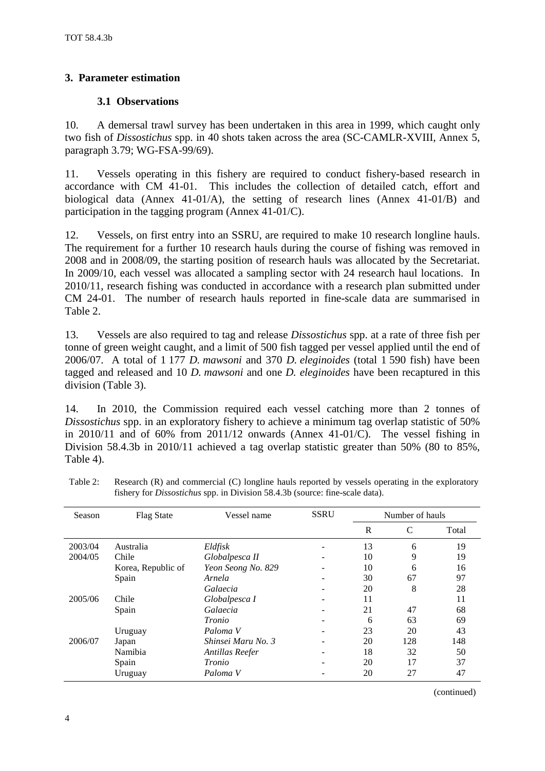# <span id="page-5-0"></span>**3. Parameter estimation**

# **3.1 Observations**

10. A demersal trawl survey has been undertaken in this area in 1999, which caught only two fish of *Dissostichus* spp. in 40 shots taken across the area (SC-CAMLR-XVIII, Annex 5, paragraph 3.79; WG-FSA-99/69).

11. Vessels operating in this fishery are required to conduct fishery-based research in accordance with CM 41-01. This includes the collection of detailed catch, effort and This includes the collection of detailed catch, effort and biological data (Annex 41-01/A), the setting of research lines (Annex 41-01/B) and participation in the tagging program (Annex 41-01/C).

12. Vessels, on first entry into an SSRU, are required to make 10 research longline hauls. The requirement for a further 10 research hauls during the course of fishing was removed in 2008 and in 2008/09, the starting position of research hauls was allocated by the Secretariat. In 2009/10, each vessel was allocated a sampling sector with 24 research haul locations. In 2010/11, research fishing was conducted in accordance with a research plan submitted under CM 24-01. The number of research hauls reported in fine-scale data are summarised in Table 2.

13. Vessels are also required to tag and release *Dissostichus* spp. at a rate of three fish per tonne of green weight caught, and a limit of 500 fish tagged per vessel applied until the end of 2006/07. A total of 1 177 *D. mawsoni* and 370 *D. eleginoides* (total 1 590 fish) have been tagged and released and 10 *D. mawsoni* and one *D. eleginoides* have been recaptured in this division (Table 3).

14. In 2010, the Commission required each vessel catching more than 2 tonnes of *Dissostichus* spp. in an exploratory fishery to achieve a minimum tag overlap statistic of 50% in 2010/11 and of 60% from 2011/12 onwards (Annex 41-01/C). The vessel fishing in Division 58.4.3b in 2010/11 achieved a tag overlap statistic greater than 50% (80 to 85%, Table 4).

| Season  | <b>Flag State</b>  | Vessel name        | <b>SSRU</b> | Number of hauls |     |       |
|---------|--------------------|--------------------|-------------|-----------------|-----|-------|
|         |                    |                    |             | $\mathbb{R}$    | C   | Total |
| 2003/04 | Australia          | Eldfisk            |             | 13              | 6   | 19    |
| 2004/05 | Chile              | Globalpesca II     | -           | 10              | 9   | 19    |
|         | Korea, Republic of | Yeon Seong No. 829 |             | 10              | 6   | 16    |
|         | Spain              | Arnela             | -           | 30              | 67  | 97    |
|         |                    | Galaecia           | -           | 20              | 8   | 28    |
| 2005/06 | Chile              | Globalpesca I      | -           | 11              |     | 11    |
|         | Spain              | Galaecia           | -           | 21              | 47  | 68    |
|         |                    | Tronio             |             | 6               | 63  | 69    |
|         | Uruguay            | Paloma V           |             | 23              | 20  | 43    |
| 2006/07 | Japan              | Shinsei Maru No. 3 |             | 20              | 128 | 148   |
|         | Namibia            | Antillas Reefer    | -           | 18              | 32  | 50    |
|         | Spain              | Tronio             |             | 20              | 17  | 37    |
|         | Uruguay            | Paloma V           |             | 20              | 27  | 47    |

Table 2: Research (R) and commercial (C) longline hauls reported by vessels operating in the exploratory fishery for *Dissostichus* spp. in Division 58.4.3b (source: fine-scale data).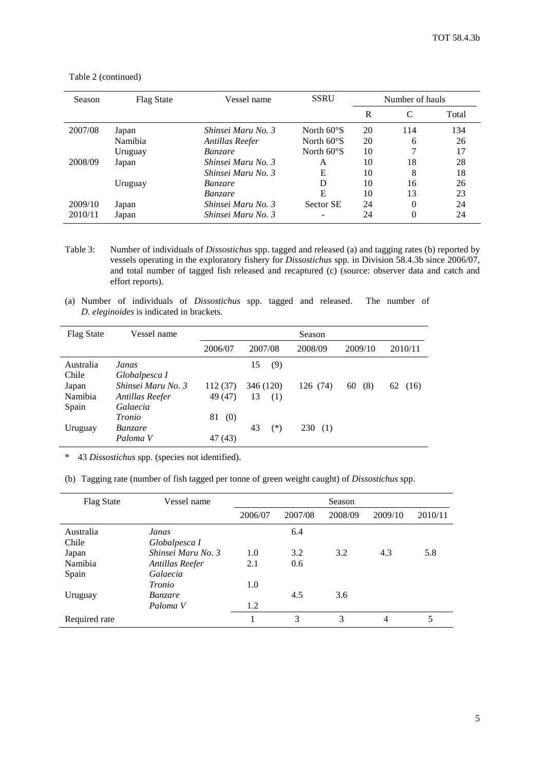| Season  | Flag State | Vessel name        | <b>SSRU</b>          | Number of hauls |          |       |
|---------|------------|--------------------|----------------------|-----------------|----------|-------|
|         |            |                    |                      | R               | C        | Total |
| 2007/08 | Japan      | Shinsei Maru No. 3 | North $60^{\circ}$ S | 20              | 114      | 134   |
|         | Namibia    | Antillas Reefer    | North $60^{\circ}$ S | 20              | 6        | 26    |
|         | Uruguay    | <i>Banzare</i>     | North $60^{\circ}$ S | 10              | ⇁        | 17    |
| 2008/09 | Japan      | Shinsei Maru No. 3 | A                    | 10              | 18       | 28    |
|         |            | Shinsei Maru No. 3 | Е                    | 10              | 8        | 18    |
|         | Uruguay    | <i>Banzare</i>     | D                    | 10              | 16       | 26    |
|         |            | <i>Banzare</i>     | Е                    | 10              | 13       | 23    |
| 2009/10 | Japan      | Shinsei Maru No. 3 | Sector SE            | 24              | $\theta$ | 24    |
| 2010/11 | Japan      | Shinsei Maru No. 3 |                      | 24              | $\theta$ | 24    |

Table 2 (continued)

- Table 3: Number of individuals of *Dissostichus* spp. tagged and released (a) and tagging rates (b) reported by vessels operating in the exploratory fishery for *Dissostichus* spp. in Division 58.4.3b since 2006/07, and total number of tagged fish released and recaptured (c) (source: observer data and catch and effort reports).
- (a) Number of individuals of *Dissostichus* spp. tagged and released. The number of *D. eleginoides* is indicated in brackets.

| <b>Flag State</b> | Vessel name        |           |             | Season     |           |            |
|-------------------|--------------------|-----------|-------------|------------|-----------|------------|
|                   |                    | 2006/07   | 2007/08     | 2008/09    | 2009/10   | 2010/11    |
| Australia         | Janas              |           | 15<br>(9)   |            |           |            |
| Chile             | Globalpesca I      |           |             |            |           |            |
| Japan             | Shinsei Maru No. 3 | 112 (37)  | 346 (120)   | 126 (74)   | (8)<br>60 | 62<br>(16) |
| Namibia           | Antillas Reefer    | 49 (47)   | 13<br>(1)   |            |           |            |
| Spain             | Galaecia           |           |             |            |           |            |
|                   | Tronio             | 81<br>(0) |             |            |           |            |
| Uruguay           | <i>Banzare</i>     |           | $(*)$<br>43 | 230<br>(1) |           |            |
|                   | Paloma V           | 47 (43)   |             |            |           |            |

\* 43 *Dissostichus* spp. (species not identified).

(b) Tagging rate (number of fish tagged per tonne of green weight caught) of *Dissostichus* spp.

| <b>Flag State</b> | Vessel name        |         |         | Season  |         |         |
|-------------------|--------------------|---------|---------|---------|---------|---------|
|                   |                    | 2006/07 | 2007/08 | 2008/09 | 2009/10 | 2010/11 |
| Australia         | Janas              |         | 6.4     |         |         |         |
| Chile             | Globalpesca I      |         |         |         |         |         |
| Japan             | Shinsei Maru No. 3 | 1.0     | 3.2     | 3.2     | 4.3     | 5.8     |
| Namibia           | Antillas Reefer    | 2.1     | 0.6     |         |         |         |
| Spain             | Galaecia           |         |         |         |         |         |
|                   | <i>Tronio</i>      | 1.0     |         |         |         |         |
| Uruguay           | <i>Banzare</i>     |         | 4.5     | 3.6     |         |         |
|                   | Paloma V           | 1.2     |         |         |         |         |
| Required rate     |                    |         | 3       | 3       | 4       | 5       |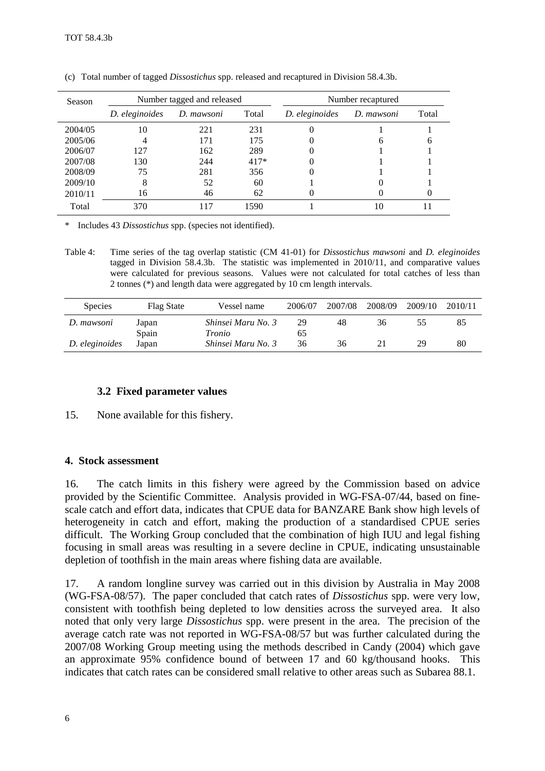| Season  | Number tagged and released |            |        | Number recaptured |            |       |
|---------|----------------------------|------------|--------|-------------------|------------|-------|
|         | D. eleginoides             | D. mawsoni | Total  | D. eleginoides    | D. mawsoni | Total |
| 2004/05 | 10                         | 221        | 231    |                   |            |       |
| 2005/06 |                            | 171        | 175    |                   |            | O     |
| 2006/07 | 127                        | 162        | 289    |                   |            |       |
| 2007/08 | 130                        | 244        | $417*$ |                   |            |       |
| 2008/09 | 75                         | 281        | 356    |                   |            |       |
| 2009/10 | 8                          | 52         | 60     |                   |            |       |
| 2010/11 | 16                         | 46         | 62     |                   |            |       |
| Total   | 370                        |            | 1590   |                   | 10         |       |

<span id="page-7-0"></span>(c) Total number of tagged *Dissostichus* spp. released and recaptured in Division 58.4.3b.

\* Includes 43 *Dissostichus* spp. (species not identified).

Table 4: Time series of the tag overlap statistic (CM 41-01) for *Dissostichus mawsoni* and *D. eleginoides* tagged in Division 58.4.3b. The statistic was implemented in 2010/11, and comparative values were calculated for previous seasons. Values were not calculated for total catches of less than 2 tonnes (\*) and length data were aggregated by 10 cm length intervals.

| <b>Species</b> | Flag State | Vessel name        | 2006/07 | 2007/08 | 2008/09 | 2009/10 | 2010/11 |
|----------------|------------|--------------------|---------|---------|---------|---------|---------|
| D. mawsoni     | Japan      | Shinsei Maru No. 3 | 29      | 48      | 36      | ככ      |         |
|                | Spain      | Tronio             | ნა      |         |         |         |         |
| D. eleginoides | Japan      | Shinsei Maru No. 3 | 36      | 36      |         | 29      | 80      |

### **3.2 Fixed parameter values**

15. None available for this fishery.

### **4. Stock assessment**

16. The catch limits in this fishery were agreed by the Commission based on advice provided by the Scientific Committee. Analysis provided in WG-FSA-07/44, based on finescale catch and effort data, indicates that CPUE data for BANZARE Bank show high levels of heterogeneity in catch and effort, making the production of a standardised CPUE series difficult. The Working Group concluded that the combination of high IUU and legal fishing focusing in small areas was resulting in a severe decline in CPUE, indicating unsustainable depletion of toothfish in the main areas where fishing data are available.

17. A random longline survey was carried out in this division by Australia in May 2008 (WG-FSA-08/57). The paper concluded that catch rates of *Dissostichus* spp. were very low, consistent with toothfish being depleted to low densities across the surveyed area. It also noted that only very large *Dissostichus* spp. were present in the area. The precision of the average catch rate was not reported in WG-FSA-08/57 but was further calculated during the 2007/08 Working Group meeting using the methods described in Candy (2004) which gave an approximate 95% confidence bound of between 17 and 60 kg/thousand hooks. This indicates that catch rates can be considered small relative to other areas such as Subarea 88.1.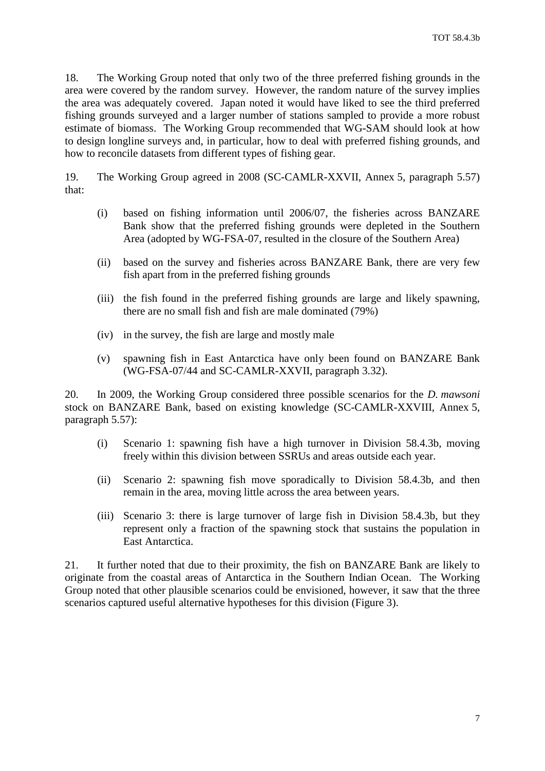18. The Working Group noted that only two of the three preferred fishing grounds in the area were covered by the random survey. However, the random nature of the survey implies the area was adequately covered. Japan noted it would have liked to see the third preferred fishing grounds surveyed and a larger number of stations sampled to provide a more robust estimate of biomass. The Working Group recommended that WG-SAM should look at how to design longline surveys and, in particular, how to deal with preferred fishing grounds, and how to reconcile datasets from different types of fishing gear.

19. The Working Group agreed in 2008 (SC-CAMLR-XXVII, Annex 5, paragraph 5.57) that:

- (i) based on fishing information until 2006/07, the fisheries across BANZARE Bank show that the preferred fishing grounds were depleted in the Southern Area (adopted by WG-FSA-07, resulted in the closure of the Southern Area)
- (ii) based on the survey and fisheries across BANZARE Bank, there are very few fish apart from in the preferred fishing grounds
- (iii) the fish found in the preferred fishing grounds are large and likely spawning, there are no small fish and fish are male dominated (79%)
- (iv) in the survey, the fish are large and mostly male
- (v) spawning fish in East Antarctica have only been found on BANZARE Bank (WG-FSA-07/44 and SC-CAMLR-XXVII, paragraph 3.32).

20. In 2009, the Working Group considered three possible scenarios for the *D. mawsoni* stock on BANZARE Bank, based on existing knowledge (SC-CAMLR-XXVIII, Annex 5, paragraph 5.57):

- (i) Scenario 1: spawning fish have a high turnover in Division 58.4.3b, moving freely within this division between SSRUs and areas outside each year.
- (ii) Scenario 2: spawning fish move sporadically to Division 58.4.3b, and then remain in the area, moving little across the area between years.
- (iii) Scenario 3: there is large turnover of large fish in Division 58.4.3b, but they represent only a fraction of the spawning stock that sustains the population in East Antarctica.

21. It further noted that due to their proximity, the fish on BANZARE Bank are likely to originate from the coastal areas of Antarctica in the Southern Indian Ocean. The Working Group noted that other plausible scenarios could be envisioned, however, it saw that the three scenarios captured useful alternative hypotheses for this division (Figure 3).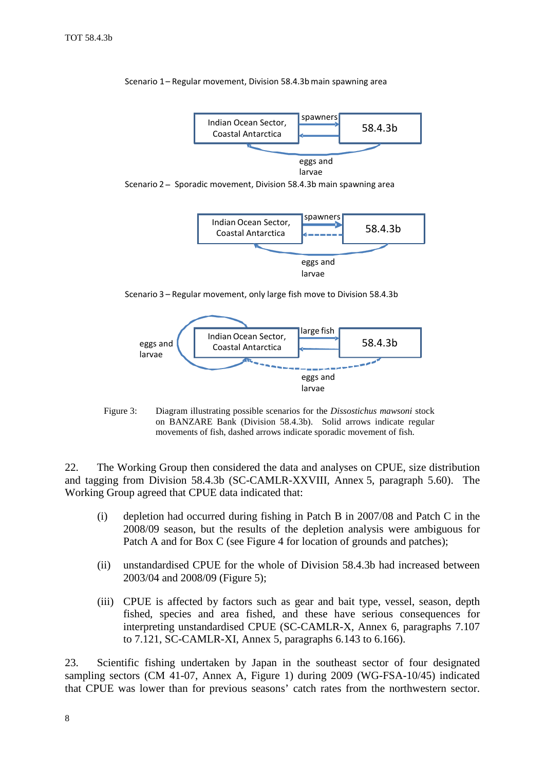

Scenario 1 – Regular movement, Division 58.4.3b main spawning area

Scenario 2 – Sporadic movement, Division 58.4.3b main spawning area



Scenario 3 – Regular movement, only large fish move to Division 58.4.3b



Figure 3: Diagram illustrating possible scenarios for the *Dissostichus mawsoni* stock on BANZARE Bank (Division 58.4.3b). Solid arrows indicate regular movements of fish, dashed arrows indicate sporadic movement of fish.

22. The Working Group then considered the data and analyses on CPUE, size distribution and tagging from Division 58.4.3b (SC-CAMLR-XXVIII, Annex 5, paragraph 5.60). The Working Group agreed that CPUE data indicated that:

- (i) depletion had occurred during fishing in Patch B in 2007/08 and Patch C in the 2008/09 season, but the results of the depletion analysis were ambiguous for Patch A and for Box C (see Figure 4 for location of grounds and patches);
- (ii) unstandardised CPUE for the whole of Division 58.4.3b had increased between 2003/04 and 2008/09 (Figure 5);
- (iii) CPUE is affected by factors such as gear and bait type, vessel, season, depth fished, species and area fished, and these have serious consequences for interpreting unstandardised CPUE (SC-CAMLR-X, Annex 6, paragraphs 7.107 to 7.121, SC-CAMLR-XI, Annex 5, paragraphs 6.143 to 6.166).

23. Scientific fishing undertaken by Japan in the southeast sector of four designated sampling sectors (CM 41-07, Annex A, Figure 1) during 2009 (WG-FSA-10/45) indicated that CPUE was lower than for previous seasons' catch rates from the northwestern sector.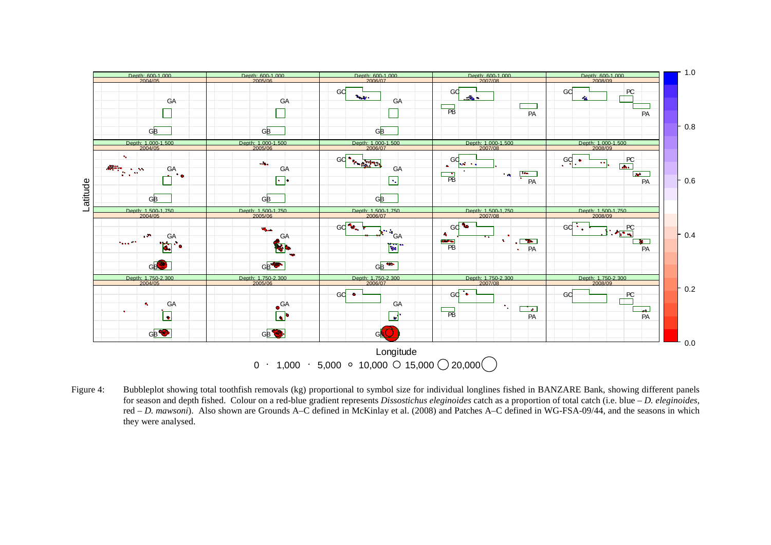

Figure 4: Bubbleplot showing total toothfish removals (kg) proportional to symbol size for individual longlines fished in BANZARE Bank, showing different panels for season and depth fished. Colour on a red-blue gradient represents *Dissostichus eleginoides* catch as a proportion of total catch (i.e. blue – *D. eleginoides*, red – *D. mawsoni*). Also shown are Grounds A–C defined in McKinlay et al. (2008) and Patches A–C defined in WG-FSA-09/44, and the seasons in which they were analysed.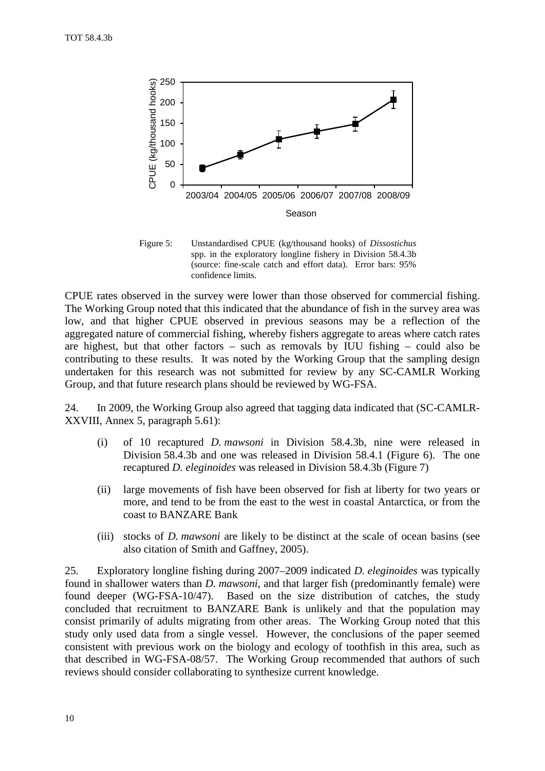

Figure 5: Unstandardised CPUE (kg/thousand hooks) of *Dissostichus* spp. in the exploratory longline fishery in Division 58.4.3b (source: fine-scale catch and effort data). Error bars: 95% confidence limits.

CPUE rates observed in the survey were lower than those observed for commercial fishing. The Working Group noted that this indicated that the abundance of fish in the survey area was low, and that higher CPUE observed in previous seasons may be a reflection of the aggregated nature of commercial fishing, whereby fishers aggregate to areas where catch rates are highest, but that other factors – such as removals by IUU fishing – could also be contributing to these results. It was noted by the Working Group that the sampling design undertaken for this research was not submitted for review by any SC-CAMLR Working Group, and that future research plans should be reviewed by WG-FSA.

24. In 2009, the Working Group also agreed that tagging data indicated that (SC-CAMLR-XXVIII, Annex 5, paragraph 5.61):

- (i) of 10 recaptured *D. mawsoni* in Division 58.4.3b, nine were released in Division 58.4.3b and one was released in Division 58.4.1 (Figure 6). The one recaptured *D. eleginoides* was released in Division 58.4.3b (Figure 7)
- (ii) large movements of fish have been observed for fish at liberty for two years or more, and tend to be from the east to the west in coastal Antarctica, or from the coast to BANZARE Bank
- (iii) stocks of *D. mawsoni* are likely to be distinct at the scale of ocean basins (see also citation of Smith and Gaffney, 2005).

25. Exploratory longline fishing during 2007–2009 indicated *D. eleginoides* was typically found in shallower waters than *D. mawsoni*, and that larger fish (predominantly female) were found deeper (WG-FSA-10/47). Based on the size distribution of catches, the study concluded that recruitment to BANZARE Bank is unlikely and that the population may consist primarily of adults migrating from other areas. The Working Group noted that this study only used data from a single vessel. However, the conclusions of the paper seemed consistent with previous work on the biology and ecology of toothfish in this area, such as that described in WG-FSA-08/57. The Working Group recommended that authors of such reviews should consider collaborating to synthesize current knowledge.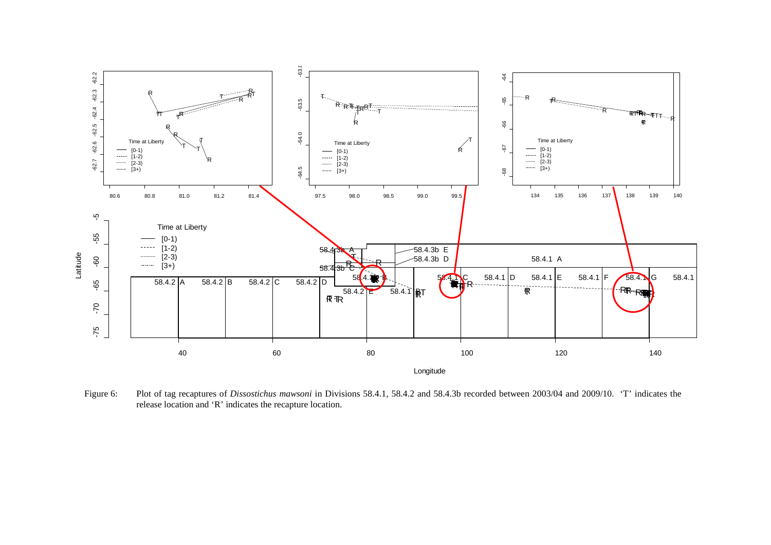

Figure 6: Plot of tag recaptures of *Dissostichus mawsoni* in Divisions 58.4.1, 58.4.2 and 58.4.3b recorded between 2003/04 and 2009/10. 'T' indicates the release location and 'R' indicates the recapture location.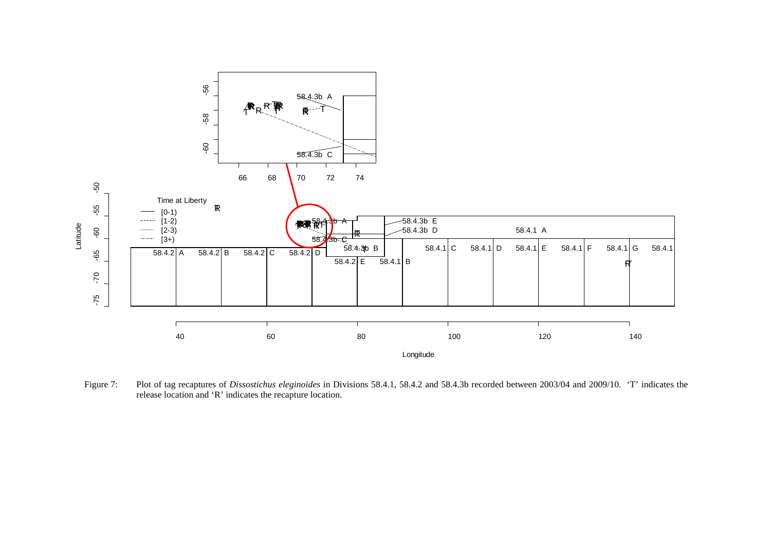

Figure 7: Plot of tag recaptures of *Dissostichus eleginoides* in Divisions 58.4.1, 58.4.2 and 58.4.3b recorded between 2003/04 and 2009/10. 'T' indicates the release location and 'R' indicates the recapture location.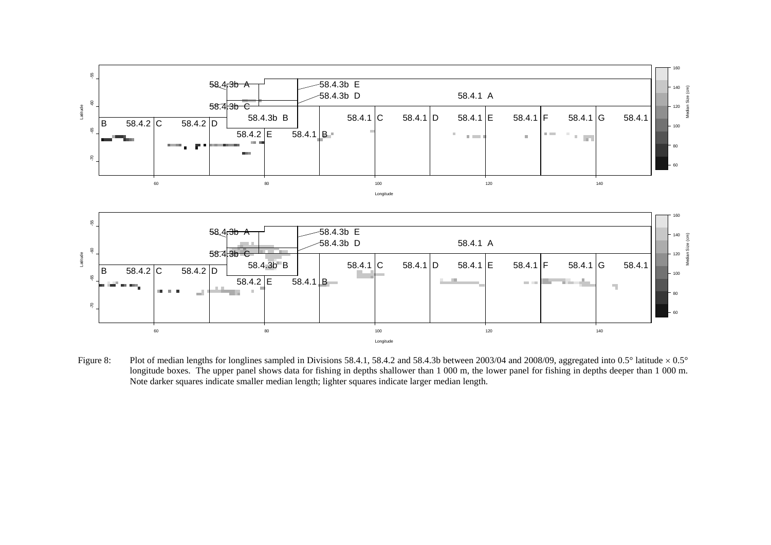

Figure 8: Plot of median lengths for longlines sampled in Divisions 58.4.1, 58.4.2 and 58.4.3b between 2003/04 and 2008/09, aggregated into 0.5° latitude  $\times 0.5^{\circ}$ longitude boxes. The upper panel shows data for fishing in depths shallower than 1 000 m, the lower panel for fishing in depths deeper than 1 000 m. Note darker squares indicate smaller median length; lighter squares indicate larger median length.

Longitude

60

80

**The A** 

 $\mathcal{H}$ 

 $\sim 100$ 

100

60 80 100 120 140

 $\overline{58.4.1}$  B

58.4.2 E

 $\pm$ 

65

 $\mathcal{R}_{\mathcal{L}}$ 

m.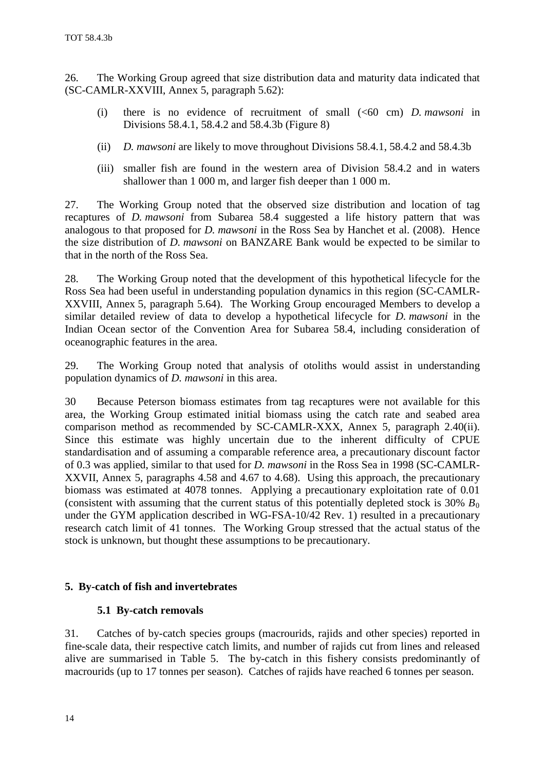<span id="page-15-0"></span>26. The Working Group agreed that size distribution data and maturity data indicated that (SC-CAMLR-XXVIII, Annex 5, paragraph 5.62):

- (i) there is no evidence of recruitment of small (<60 cm) *D. mawsoni* in Divisions 58.4.1, 58.4.2 and 58.4.3b (Figure 8)
- (ii) *D. mawsoni* are likely to move throughout Divisions 58.4.1, 58.4.2 and 58.4.3b
- (iii) smaller fish are found in the western area of Division 58.4.2 and in waters shallower than 1 000 m, and larger fish deeper than 1 000 m.

27. The Working Group noted that the observed size distribution and location of tag recaptures of *D. mawsoni* from Subarea 58.4 suggested a life history pattern that was analogous to that proposed for *D. mawsoni* in the Ross Sea by Hanchet et al. (2008). Hence the size distribution of *D. mawsoni* on BANZARE Bank would be expected to be similar to that in the north of the Ross Sea.

28. The Working Group noted that the development of this hypothetical lifecycle for the Ross Sea had been useful in understanding population dynamics in this region (SC-CAMLR-XXVIII, Annex 5, paragraph 5.64). The Working Group encouraged Members to develop a similar detailed review of data to develop a hypothetical lifecycle for *D. mawsoni* in the Indian Ocean sector of the Convention Area for Subarea 58.4, including consideration of oceanographic features in the area.

29. The Working Group noted that analysis of otoliths would assist in understanding population dynamics of *D. mawsoni* in this area.

30 Because Peterson biomass estimates from tag recaptures were not available for this area, the Working Group estimated initial biomass using the catch rate and seabed area comparison method as recommended by SC-CAMLR-XXX, Annex 5, paragraph 2.40(ii). Since this estimate was highly uncertain due to the inherent difficulty of CPUE standardisation and of assuming a comparable reference area, a precautionary discount factor of 0.3 was applied, similar to that used for *D. mawsoni* in the Ross Sea in 1998 (SC-CAMLR-XXVII, Annex 5, paragraphs 4.58 and 4.67 to 4.68). Using this approach, the precautionary biomass was estimated at 4078 tonnes. Applying a precautionary exploitation rate of 0.01 (consistent with assuming that the current status of this potentially depleted stock is  $30\% B_0$ under the GYM application described in WG-FSA-10/42 Rev. 1) resulted in a precautionary research catch limit of 41 tonnes. The Working Group stressed that the actual status of the stock is unknown, but thought these assumptions to be precautionary.

### **5. By-catch of fish and invertebrates**

### **5.1 By-catch removals**

31. Catches of by-catch species groups (macrourids, rajids and other species) reported in fine-scale data, their respective catch limits, and number of rajids cut from lines and released alive are summarised in Table 5. The by-catch in this fishery consists predominantly of macrourids (up to 17 tonnes per season). Catches of rajids have reached 6 tonnes per season.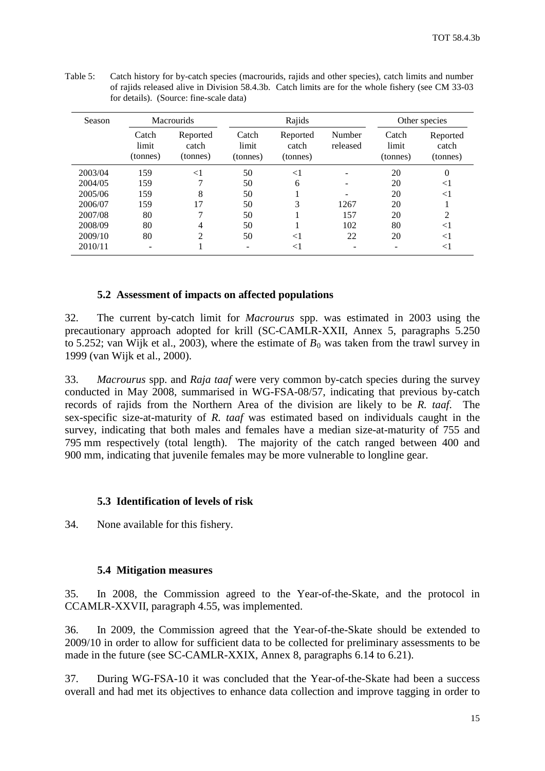| Season  | <b>Macrourids</b>          |                               |                            | Rajids                        |                    |                            | Other species                 |  |
|---------|----------------------------|-------------------------------|----------------------------|-------------------------------|--------------------|----------------------------|-------------------------------|--|
|         | Catch<br>limit<br>(tonnes) | Reported<br>catch<br>(tonnes) | Catch<br>limit<br>(tonnes) | Reported<br>catch<br>(tonnes) | Number<br>released | Catch<br>limit<br>(tonnes) | Reported<br>catch<br>(tonnes) |  |
| 2003/04 | 159                        | $< \! 1$                      | 50                         | $<$ 1                         |                    | 20                         | $\theta$                      |  |
| 2004/05 | 159                        | 7                             | 50                         | 6                             |                    | 20                         | $<$ 1                         |  |
| 2005/06 | 159                        | 8                             | 50                         |                               |                    | 20                         | ${<}1$                        |  |
| 2006/07 | 159                        | 17                            | 50                         | 3                             | 1267               | 20                         |                               |  |
| 2007/08 | 80                         |                               | 50                         |                               | 157                | 20                         | 2                             |  |
| 2008/09 | 80                         | 4                             | 50                         |                               | 102                | 80                         | $<$ 1                         |  |
| 2009/10 | 80                         | $\mathfrak{D}$                | 50                         | $<$ 1                         | 22                 | 20                         | $<$ 1                         |  |
| 2010/11 |                            |                               |                            | $<$ 1                         |                    |                            | ${<}1$                        |  |

Table 5: Catch history for by-catch species (macrourids, rajids and other species), catch limits and number of rajids released alive in Division 58.4.3b. Catch limits are for the whole fishery (see CM 33-03 for details). (Source: fine-scale data)

# **5.2 Assessment of impacts on affected populations**

32. The current by-catch limit for *Macrourus* spp. was estimated in 2003 using the precautionary approach adopted for krill (SC-CAMLR-XXII, Annex 5, paragraphs 5.250 to 5.252; van Wijk et al., 2003), where the estimate of  $B_0$  was taken from the trawl survey in 1999 (van Wijk et al., 2000).

33. *Macrourus* spp. and *Raja taaf* were very common by-catch species during the survey conducted in May 2008, summarised in WG-FSA-08/57, indicating that previous by-catch records of rajids from the Northern Area of the division are likely to be *R. taaf*. The sex-specific size-at-maturity of *R. taaf* was estimated based on individuals caught in the survey, indicating that both males and females have a median size-at-maturity of 755 and 795 mm respectively (total length). The majority of the catch ranged between 400 and 900 mm, indicating that juvenile females may be more vulnerable to longline gear.

### **5.3 Identification of levels of risk**

34. None available for this fishery.

### **5.4 Mitigation measures**

35. In 2008, the Commission agreed to the Year-of-the-Skate, and the protocol in CCAMLR-XXVII, paragraph 4.55, was implemented.

36. In 2009, the Commission agreed that the Year-of-the-Skate should be extended to 2009/10 in order to allow for sufficient data to be collected for preliminary assessments to be made in the future (see SC-CAMLR-XXIX, Annex 8, paragraphs 6.14 to 6.21).

37. During WG-FSA-10 it was concluded that the Year-of-the-Skate had been a success overall and had met its objectives to enhance data collection and improve tagging in order to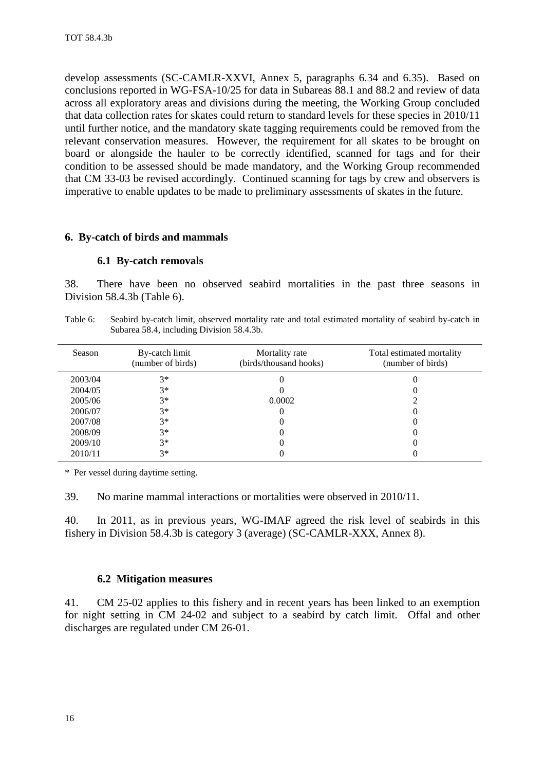<span id="page-17-0"></span>develop assessments (SC-CAMLR-XXVI, Annex 5, paragraphs 6.34 and 6.35). Based on conclusions reported in WG-FSA-10/25 for data in Subareas 88.1 and 88.2 and review of data across all exploratory areas and divisions during the meeting, the Working Group concluded that data collection rates for skates could return to standard levels for these species in 2010/11 until further notice, and the mandatory skate tagging requirements could be removed from the relevant conservation measures. However, the requirement for all skates to be brought on board or alongside the hauler to be correctly identified, scanned for tags and for their condition to be assessed should be made mandatory, and the Working Group recommended that CM 33-03 be revised accordingly. Continued scanning for tags by crew and observers is imperative to enable updates to be made to preliminary assessments of skates in the future.

### **6. By-catch of birds and mammals**

### **6.1 By-catch removals**

38. There have been no observed seabird mortalities in the past three seasons in Division 58.4.3b (Table 6).

Table 6: Seabird by-catch limit, observed mortality rate and total estimated mortality of seabird by-catch in Subarea 58.4, including Division 58.4.3b.

| Season  | By-catch limit<br>(number of birds) | Mortality rate<br>(birds/thousand hooks) | Total estimated mortality<br>(number of birds) |
|---------|-------------------------------------|------------------------------------------|------------------------------------------------|
| 2003/04 | $3*$                                |                                          |                                                |
| 2004/05 | $3*$                                |                                          |                                                |
| 2005/06 | $3*$                                | 0.0002                                   |                                                |
| 2006/07 | $3*$                                |                                          |                                                |
| 2007/08 | $3*$                                |                                          |                                                |
| 2008/09 | $3*$                                |                                          |                                                |
| 2009/10 | $3*$                                |                                          |                                                |
| 2010/11 | $3*$                                |                                          |                                                |

\* Per vessel during daytime setting.

39. No marine mammal interactions or mortalities were observed in 2010/11.

40. In 2011, as in previous years, WG-IMAF agreed the risk level of seabirds in this fishery in Division 58.4.3b is category 3 (average) (SC-CAMLR-XXX, Annex 8).

### **6.2 Mitigation measures**

41. CM 25-02 applies to this fishery and in recent years has been linked to an exemption for night setting in CM 24-02 and subject to a seabird by catch limit. Offal and other discharges are regulated under CM 26-01.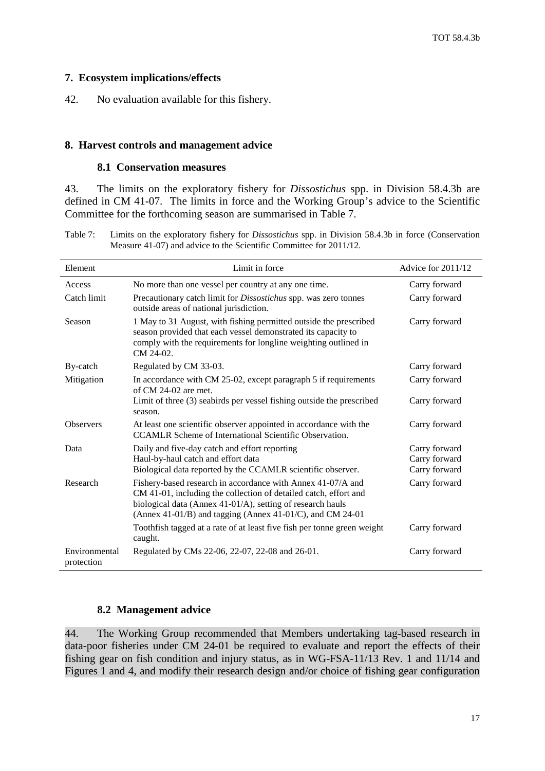### <span id="page-18-0"></span>**7. Ecosystem implications/effects**

42. No evaluation available for this fishery.

#### **8. Harvest controls and management advice**

#### **8.1 Conservation measures**

43. The limits on the exploratory fishery for *Dissostichus* spp. in Division 58.4.3b are defined in CM 41-07. The limits in force and the Working Group's advice to the Scientific Committee for the forthcoming season are summarised in Table 7.

Table 7: Limits on the exploratory fishery for *Dissostichus* spp. in Division 58.4.3b in force (Conservation Measure 41-07) and advice to the Scientific Committee for 2011/12.

| Element                     | Limit in force                                                                                                                                                                                                                                             | Advice for 2011/12                              |
|-----------------------------|------------------------------------------------------------------------------------------------------------------------------------------------------------------------------------------------------------------------------------------------------------|-------------------------------------------------|
| Access                      | No more than one vessel per country at any one time.                                                                                                                                                                                                       | Carry forward                                   |
| Catch limit                 | Precautionary catch limit for <i>Dissostichus</i> spp. was zero tonnes<br>outside areas of national jurisdiction.                                                                                                                                          | Carry forward                                   |
| Season                      | 1 May to 31 August, with fishing permitted outside the prescribed<br>season provided that each vessel demonstrated its capacity to<br>comply with the requirements for longline weighting outlined in<br>CM 24-02.                                         | Carry forward                                   |
| By-catch                    | Regulated by CM 33-03.                                                                                                                                                                                                                                     | Carry forward                                   |
| Mitigation                  | In accordance with CM 25-02, except paragraph 5 if requirements<br>of $CM$ 24-02 are met.                                                                                                                                                                  | Carry forward                                   |
|                             | Limit of three (3) seabirds per vessel fishing outside the prescribed<br>season.                                                                                                                                                                           | Carry forward                                   |
| <b>Observers</b>            | At least one scientific observer appointed in accordance with the<br>CCAMLR Scheme of International Scientific Observation.                                                                                                                                | Carry forward                                   |
| Data                        | Daily and five-day catch and effort reporting<br>Haul-by-haul catch and effort data<br>Biological data reported by the CCAMLR scientific observer.                                                                                                         | Carry forward<br>Carry forward<br>Carry forward |
| Research                    | Fishery-based research in accordance with Annex 41-07/A and<br>CM 41-01, including the collection of detailed catch, effort and<br>biological data (Annex 41-01/A), setting of research hauls<br>(Annex 41-01/B) and tagging (Annex 41-01/C), and CM 24-01 | Carry forward                                   |
|                             | Toothfish tagged at a rate of at least five fish per tonne green weight<br>caught.                                                                                                                                                                         | Carry forward                                   |
| Environmental<br>protection | Regulated by CMs 22-06, 22-07, 22-08 and 26-01.                                                                                                                                                                                                            | Carry forward                                   |

### **8.2 Management advice**

44. The Working Group recommended that Members undertaking tag-based research in data-poor fisheries under CM 24-01 be required to evaluate and report the effects of their fishing gear on fish condition and injury status, as in WG-FSA-11/13 Rev. 1 and 11/14 and Figures 1 and 4, and modify their research design and/or choice of fishing gear configuration